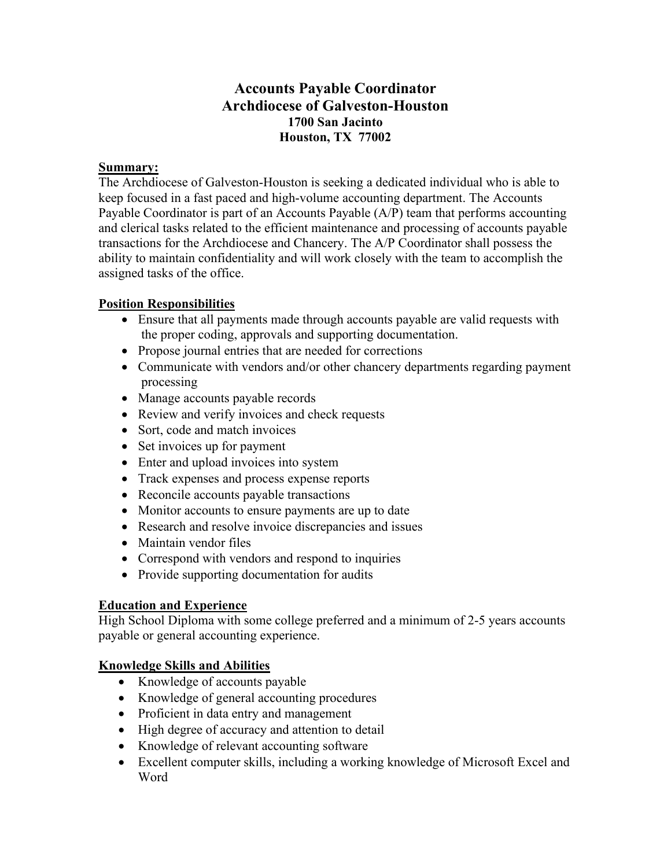# **Accounts Payable Coordinator Archdiocese of Galveston-Houston 1700 San Jacinto Houston, TX 77002**

### **Summary:**

The Archdiocese of Galveston-Houston is seeking a dedicated individual who is able to keep focused in a fast paced and high-volume accounting department. The Accounts Payable Coordinator is part of an Accounts Payable (A/P) team that performs accounting and clerical tasks related to the efficient maintenance and processing of accounts payable transactions for the Archdiocese and Chancery. The A/P Coordinator shall possess the ability to maintain confidentiality and will work closely with the team to accomplish the assigned tasks of the office.

## **Position Responsibilities**

- Ensure that all payments made through accounts payable are valid requests with the proper coding, approvals and supporting documentation.
- Propose journal entries that are needed for corrections
- Communicate with vendors and/or other chancery departments regarding payment processing
- Manage accounts payable records
- Review and verify invoices and check requests
- Sort, code and match invoices
- Set invoices up for payment
- Enter and upload invoices into system
- Track expenses and process expense reports
- Reconcile accounts payable transactions
- Monitor accounts to ensure payments are up to date
- Research and resolve invoice discrepancies and issues
- Maintain vendor files
- Correspond with vendors and respond to inquiries
- Provide supporting documentation for audits

## **Education and Experience**

High School Diploma with some college preferred and a minimum of 2-5 years accounts payable or general accounting experience.

## **Knowledge Skills and Abilities**

- Knowledge of accounts payable
- Knowledge of general accounting procedures
- Proficient in data entry and management
- High degree of accuracy and attention to detail
- Knowledge of relevant accounting software
- Excellent computer skills, including a working knowledge of Microsoft Excel and Word